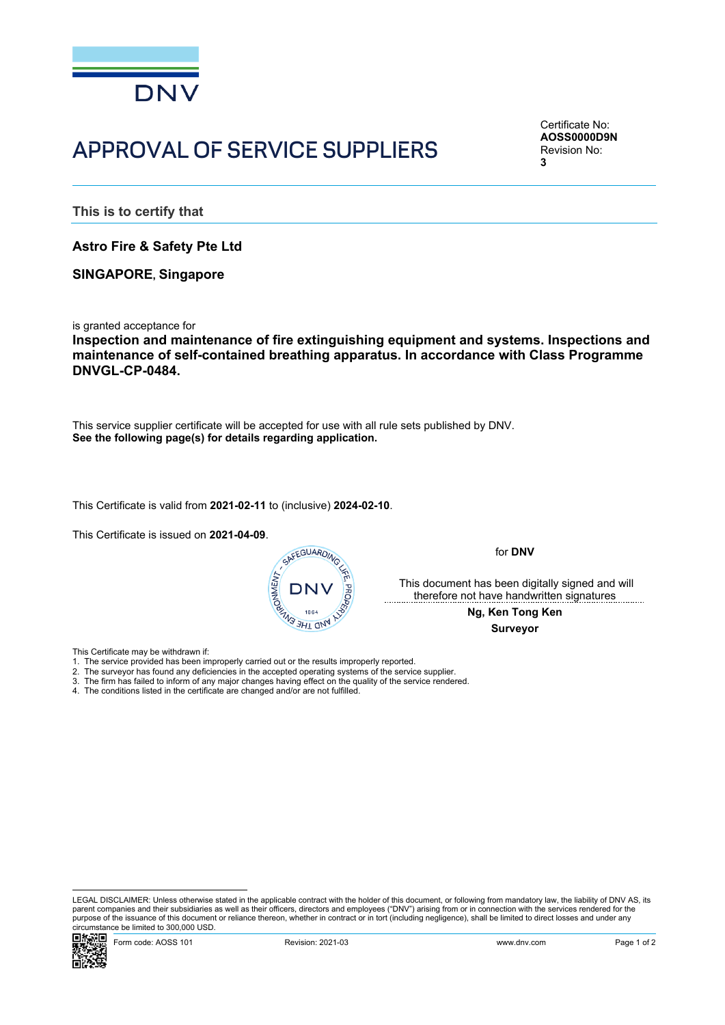

## APPROVAL OF SERVICE SUPPLIERS

<span id="page-0-2"></span><span id="page-0-1"></span><span id="page-0-0"></span>Certificate No: **AOSS0000D9N** Revision No: **3**

**This is to certify that**

**Astro Fire & Safety Pte Ltd**

**SINGAPORE, Singapore**

is granted acceptance for

**Inspection and maintenance of fire extinguishing equipment and systems. Inspections and maintenance of self-contained breathing apparatus. In accordance with Class Programme DNVGL-CP-0484.**

This service supplier certificate will be accepted for use with all rule sets published by DNV. **See the following page(s) for details regarding application.**

This Certificate is valid from **2021-02-11** to (inclusive) **2024-02-10**.

This Certificate is issued on **2021-04-09**.



for **DNV**

 This document has been digitally signed and will therefore not have handwritten signatures

> **Ng, Ken Tong Ken Surveyor**

This Certificate may be withdrawn if:

- 
- 2. The surveyor has found any deficiencies in the accepted operating systems of the service supplier.
- 3. The firm has failed to inform of any major changes having effect on the quality of the service rendered.
- 4. The conditions listed in the certificate are changed and/or are not fulfilled.

LEGAL DISCLAIMER: Unless otherwise stated in the applicable contract with the holder of this document, or following from mandatory law, the liability of DNV AS, its parent companies and their subsidiaries as well as their officers, directors and employees ("DNV") arising from or in connection with the services rendered for the purpose of the issuance of this document or reliance thereon, whether in contract or in tort (including negligence), shall be limited to direct losses and under any circumstance be limited to 300,000 USD.